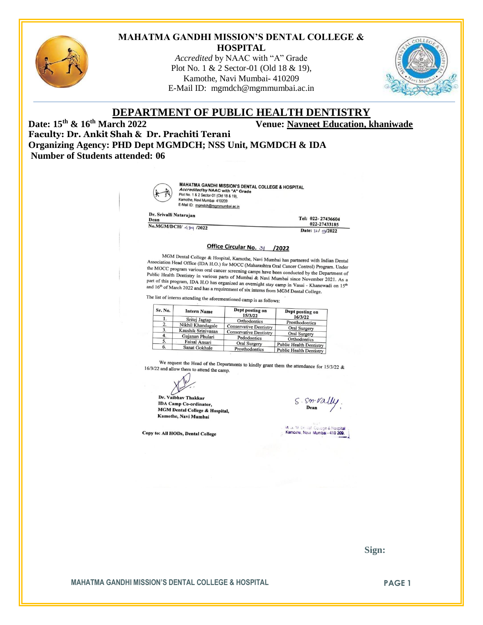

#### **MAHATMA GANDHI MISSION'S DENTAL COLLEGE & HOSPITAL**

*Accredited* by NAAC with "A" Grade Plot No. 1 & 2 Sector-01 (Old 18 & 19), Kamothe, Navi Mumbai- 410209 E-Mail ID: [mgmdch@mgmmumbai.ac.in](mailto:mgmdch@mgmmumbai.ac.in)



# **DEPARTMENT OF PUBLIC HEALTH DENTISTRY**<br>Venue: Navneet Education, b Venue: Navneet Education, b

**Date: 15th & 16th March 2022 Venue: Navneet Education, khaniwade**

**Faculty: Dr. Ankit Shah & Dr. Prachiti Terani Organizing Agency: PHD Dept MGMDCH; NSS Unit, MGMDCH & IDA Number of Students attended: 06**



**MAHATMA GANDHI MISSION'S DENTAL COLLEGE & HOSPITAL<br>Accredited by NAAC with "A" Grade<br>Plot No. 1 & 2 Sector 01 (Old 18 & 19),<br>Kampihe Naxi Mumbai 440008 & 19),** Kamothe, Navi Mumbai- 410209 E-Mail ID: mgmdch@mgmmumbai.ac.in

Dr. Srivalli Natarajan

Dean No.MGM/DCH/ 489 /2022 Tel: 022-27436604 022-27433185 Date: 12/ 03/2022

#### Office Circular No. 3| /2022

MGM Dental College & Hospital, Kamothe, Navi Mumbai has partnered with Indian Dental<br>iation Head Office (IDA H.O.) for MOCC (Mahasashua Ord G. Association Head Office (IDA H.O.) for MoCC (Maharashtra Oral Cancer Control) Program. Under<br>Association Head Office (IDA H.O.) for MoCC program various oral cancer screening or and cancer Control) Program. Under the MOCC program. Under the MOCC program. Under the MOCC program. Under the MOCC program various oral cancer screening camps have been conducted by the Department of Public Health Dentistry in various parts of Mumbai & Nov Eublic Health Dentitivery in various oral cancer screening camps have been conducted by the Department of<br>Public Health Dentitivery in various parts of Mumbai since November 2021. As a<br>part of this program, IDA H.O has org Figure 1.1 Dentistry in various parts of Mumbai & Navi Mumbai since November 2021. As a and 16<sup>th</sup> of his program, IDA H.O has organized an overnight stay camp in Vasai - Khanewadi on 15<sup>th</sup> and 16<sup>th</sup> of March 2022 and h part of this program, IDA H.O has organized an overnight stay camp in Vasai - Khanet and 16<sup>th</sup> of March 2022 and has a requirement of six interns from MGM Dental College.

The list of interns attending the aforementioned camp is as follows:

| Sr. No. | <b>Intern Name</b> | Dept posting on<br>15/3/22    | Dept posting on<br>16/3/22     |
|---------|--------------------|-------------------------------|--------------------------------|
| ı.      | Sritej Jagtap      | Orthodontics                  | Prosthodontics                 |
| 2.      | Nikhil Khandagale  | <b>Conservative Dentistry</b> |                                |
|         | Kaushik Srinivasan | <b>Conservative Dentistry</b> | <b>Oral Surgery</b>            |
| 4.      | Gajanan Phulari    | Pedodontics                   | <b>Oral Surgery</b>            |
|         | Faisal Ansari      | <b>Oral Surgery</b>           | Orthodontics                   |
| 6.      | Sanat Gokhale      | Prosthodontics                | <b>Public Health Dentistry</b> |
|         |                    |                               | <b>Public Health Dentistry</b> |

We request the Head of the Departments to kindly grant them the attendance for 15/3/22 &  $2$  and allow them to attend the camp 16/3/22 and allow them to attend the camp.

Dr. Vaibhav Thakkaı **IDA Camp Co-ordinator,** MGM Dental College & Hospital, Kamothe, Navi Mumbai

Copy to: All HODs, Dental College

S. Sm. Vally Dean

M. J. M. De liat College & Hospital

 **Sign:**

**MAHATMA GANDHI MISSION'S DENTAL COLLEGE & HOSPITAL <b>FRAGE 1 PAGE 1**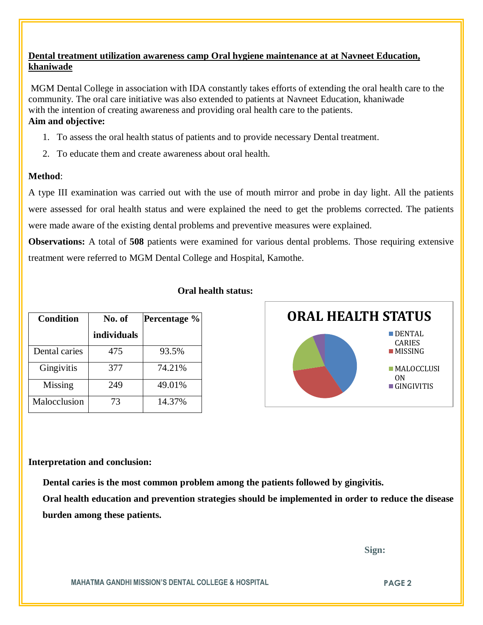# **Dental treatment utilization awareness camp Oral hygiene maintenance at at Navneet Education, khaniwade**

MGM Dental College in association with IDA constantly takes efforts of extending the oral health care to the community. The oral care initiative was also extended to patients at Navneet Education, khaniwade with the intention of creating awareness and providing oral health care to the patients. **Aim and objective:** 

- 1. To assess the oral health status of patients and to provide necessary Dental treatment.
- 2. To educate them and create awareness about oral health.

# **Method**:

A type III examination was carried out with the use of mouth mirror and probe in day light. All the patients were assessed for oral health status and were explained the need to get the problems corrected. The patients were made aware of the existing dental problems and preventive measures were explained.

**Observations:** A total of **508** patients were examined for various dental problems. Those requiring extensive treatment were referred to MGM Dental College and Hospital, Kamothe.

|  | Oral health status: |
|--|---------------------|
|  |                     |

| <b>Condition</b> | No. of      | Percentage % |
|------------------|-------------|--------------|
|                  | individuals |              |
| Dental caries    | 475         | 93.5%        |
| Gingivitis       | 377         | 74.21%       |
| Missing          | 249         | 49.01%       |
| Malocclusion     | 73          | 14.37%       |



### **Interpretation and conclusion:**

 **Dental caries is the most common problem among the patients followed by gingivitis.**

**Oral health education and prevention strategies should be implemented in order to reduce the disease burden among these patients.**

 **Sign:**

**MAHATMA GANDHI MISSION'S DENTAL COLLEGE & HOSPITAL PAGE 2**